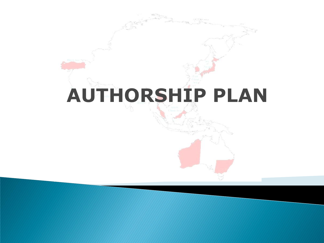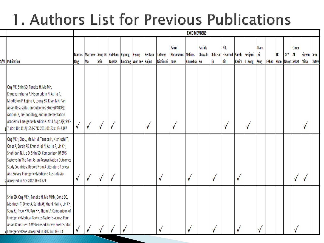## 1. Authors List for Previous Publications

|                                                                                                                                                                                                                                                                                                                                                |                      |                                       |      |        |                                      |         |                             |                                      | <b>EXCO MEMBERS</b> |                           |                                           |                   |   |                        |      |            |    |                          |           |                             |              |
|------------------------------------------------------------------------------------------------------------------------------------------------------------------------------------------------------------------------------------------------------------------------------------------------------------------------------------------------|----------------------|---------------------------------------|------|--------|--------------------------------------|---------|-----------------------------|--------------------------------------|---------------------|---------------------------|-------------------------------------------|-------------------|---|------------------------|------|------------|----|--------------------------|-----------|-----------------------------|--------------|
| <b>S/N</b> Publication                                                                                                                                                                                                                                                                                                                         | <b>Marcus</b><br>Ong | Matthew Sang Do Hideharu Kyoung<br>Ma | Shin | Tanaka | Kyung<br>Jun Song   Won Lee   Kajino | Kentaro | <b>Tatsuya</b><br>Nishiuchi | Pairoj<br>Khruekarnc Nalinas<br>hana | Khunkhlai Ko        | <b>Patrick</b><br>Chow-In | Chih-Hao Hisamud Sarah Benjami Lai<br>Lin | <b>Nik</b><br>din |   | Karim   n Leong   Peng | Tham | Fahad Khoo | ТС | <b>GY</b><br>Naroo Sakaf | Omer<br>A | Ridvan Cem<br><b>Atilla</b> | <b>Oktay</b> |
| Ong ME, Shin SD, Tanaka H, Ma MH,<br>Khruekarnchana P, Hisamuddin N, Atilla R,<br>Middleton P, Kajino K, Leong BS, Khan MN. Pan-<br>Asian Resuscitation Outcomes Study (PAROS):<br>rationale, methodology, and implementation.<br>Academic Emergency Medicine. 2011 Aug;18(8):890-<br>17. doi: 10.1111/j.1553-2712.2011.01132.x. IF=2.197      | √                    | ۷                                     | ٧    | ٧      |                                      | V       |                             | ٧                                    |                     |                           |                                           | ٧                 |   | ٧                      |      |            |    |                          |           |                             |              |
| Ong MEH, Cho J, Ma MHM, Tanaka H, Nishiuchi T,<br>Omer A, Sarah AK, Khunkhlai N, Atilla R, Lin CH,<br>Shahidah N, Lie D, Shin SD. Comparison Of EMS<br>Systems In The Pan-Asian Resuscitation Outcomes<br>Study Countries: Report From A Literature Review<br>And Survey. Emergency Medicine Australasia.<br>2 Accepted in Nov 2012. IF= 0.979 | √                    | ۷                                     | ٧    | V      |                                      |         | ٧                           |                                      | √                   |                           | √                                         |                   | ٧ |                        |      |            |    |                          |           |                             |              |
| Shin SD, Ong MEH, Tanaka H, Ma MHM, Cone DC,<br>Nishiuchi T, Omer A, Sarah AK, Khunkhlai N, Lin CH,<br>Song KJ, Ryoo HW, Ryu HH, Tham LP. Comparison of<br>Emergency Medical Services Systems across Pan-<br>Asian Countries: A Web-based Survey. Prehospital<br>3 Emergency Care. Accepted in 2012 Jul. IF= 1.3                               |                      |                                       |      |        |                                      |         |                             |                                      |                     |                           | N                                         |                   |   |                        |      |            |    |                          |           |                             |              |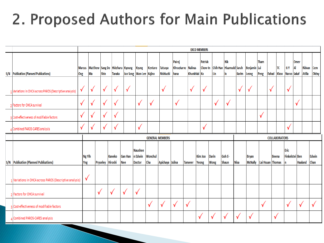## 2. Proposed Authors for Main Publications

|                                                          |               |                                              |             |                          |                       |                                             |                        |                                    |                                      |                | <b>EXCO MEMBERS</b>       |                             |                                             |              |                                |              |                   |                      |                               |            |                         |                      |
|----------------------------------------------------------|---------------|----------------------------------------------|-------------|--------------------------|-----------------------|---------------------------------------------|------------------------|------------------------------------|--------------------------------------|----------------|---------------------------|-----------------------------|---------------------------------------------|--------------|--------------------------------|--------------|-------------------|----------------------|-------------------------------|------------|-------------------------|----------------------|
| S/N Publication (Planned Publications)                   | Ong           | Marcus Matthew Sang Do Hideharu Kyoung<br>Ma | <b>Shin</b> | Tanaka                   |                       | <b>Kyung</b><br>Jun Song   Won Lee   Kajino | Kentaro                | <b>Tatsuya</b><br><b>Nishiuchi</b> | Pairoi<br>Khruekarnc Nalinas<br>hana | Khunkhlai Ko   | Patrick<br><b>Chow-In</b> | Lin                         | <b>Nik</b><br>Chih-Hao Hisamudd Sarah<br>in | <b>Karim</b> | Benjamin Lai<br>Leong          | Tham<br>Peng | <b>Fahad</b> Khoo | TC                   | G Y<br>Naroo Sakaf            | Omer<br>Al | Ridvan<br><b>Atilla</b> | Cem<br>Oktay         |
| 1 Variations in OHCA across PAROS (Descriptive analysis) | ٧             | √                                            | $\sqrt{}$   | √                        | $\checkmark$          |                                             |                        | $\checkmark$                       |                                      | √              | V                         |                             |                                             | $\checkmark$ | √                              |              | √                 |                      | V                             |            |                         |                      |
| <sup>2</sup> Factors for OHCA survival                   | √             | v                                            | √           | √                        |                       | $\sqrt{}$                                   | √                      |                                    | √                                    |                |                           | √                           | √                                           |              |                                |              |                   |                      |                               | √          |                         |                      |
| Cost-effectiveness of modifiable factors                 | √             |                                              | √           | V                        |                       |                                             |                        |                                    |                                      |                |                           |                             |                                             |              |                                | √            |                   |                      |                               |            |                         |                      |
| Combined PAROS-CARES analysis                            | V             | v                                            | $\sqrt{ }$  | V                        |                       | $\sqrt{}$                                   |                        |                                    |                                      |                | $\checkmark$              |                             |                                             |              |                                |              |                   |                      | √                             |            |                         |                      |
|                                                          |               |                                              |             |                          |                       |                                             | <b>GENERAL MEMBERS</b> |                                    |                                      |                |                           |                             |                                             |              |                                |              |                   | <b>COLLABORATORS</b> |                               |            |                         |                      |
| S/N   Publication (Planned Publications)                 | Ng Yih<br>Yng |                                              | Pryseley    | Kaneko<br><b>Hiroshi</b> | <b>Gan Han</b><br>Nee | <b>Naushee</b><br>n Edwin<br>Doctor         | Wonchul<br>Cha         | Apichaya Julina                    |                                      | <b>Tanveer</b> | Kim Joo<br>Yeong          | <b>Darin</b><br><b>Wong</b> | Goh E-<br>Shaun                             | <b>Nisa</b>  | <b>Bryan</b><br><b>McNally</b> |              | Lai Hsuan Thomas  | <b>Beena</b>         | <b>Eric</b><br>Finkelstei Ben |            | Haaland                 | Edwin<br><b>Chan</b> |
| 1 Variations in OHCA across PAROS (Descriptive analysis) | √             |                                              |             |                          |                       |                                             |                        |                                    |                                      |                |                           |                             |                                             |              |                                |              |                   |                      |                               |            |                         |                      |
| 2 Factors for OHCA survival                              |               | $\checkmark$                                 |             | $\checkmark$             | √                     | $\checkmark$                                |                        |                                    |                                      |                |                           |                             |                                             |              |                                |              |                   |                      |                               |            |                         |                      |
| 3 Cost-effectiveness of modifiable factors               |               |                                              |             |                          |                       |                                             | √                      | √                                  | √                                    | √              |                           |                             |                                             |              |                                | √            |                   |                      | √                             | √          |                         | √                    |
| 4 Combined PAROS-CARES analysis                          |               |                                              |             |                          |                       |                                             |                        |                                    |                                      |                | √                         | $\checkmark$                | √                                           | $\checkmark$ | √                              |              | √                 |                      |                               |            |                         |                      |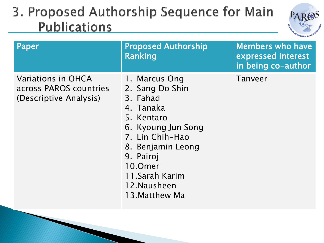

| Paper                                                                  | <b>Proposed Authorship</b><br>Ranking                                                                                                                                                                             | <b>Members who have</b><br>expressed interest<br>in being co-author |
|------------------------------------------------------------------------|-------------------------------------------------------------------------------------------------------------------------------------------------------------------------------------------------------------------|---------------------------------------------------------------------|
| Variations in OHCA<br>across PAROS countries<br>(Descriptive Analysis) | 1. Marcus Ong<br>2. Sang Do Shin<br>3. Fahad<br>4. Tanaka<br>5. Kentaro<br>6. Kyoung Jun Song<br>7. Lin Chih-Hao<br>8. Benjamin Leong<br>9. Pairoj<br>10.0mer<br>11.Sarah Karim<br>12. Nausheen<br>13. Matthew Ma | Tanveer                                                             |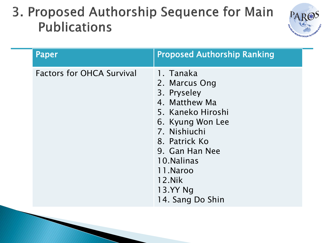

| Paper                            | <b>Proposed Authorship Ranking</b>                                                                                                                                                                                          |
|----------------------------------|-----------------------------------------------------------------------------------------------------------------------------------------------------------------------------------------------------------------------------|
| <b>Factors for OHCA Survival</b> | 1. Tanaka<br>2. Marcus Ong<br>3. Pryseley<br>4. Matthew Ma<br>5. Kaneko Hiroshi<br>6. Kyung Won Lee<br>7. Nishiuchi<br>8. Patrick Ko<br>9. Gan Han Nee<br>10. Nalinas<br>11.Naroo<br>12.Nik<br>13.YY Ng<br>14. Sang Do Shin |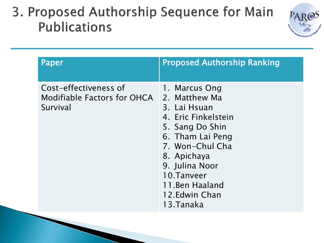

| <b>Paper</b>                                                     | <b>Proposed Authorship Ranking</b>                                                                                                                                                                                               |
|------------------------------------------------------------------|----------------------------------------------------------------------------------------------------------------------------------------------------------------------------------------------------------------------------------|
| Cost-effectiveness of<br>Modifiable Factors for OHCA<br>Survival | 1. Marcus Ong<br>2. Matthew Ma<br>3. Lai Hsuan<br>4. Eric Finkelstein<br>5. Sang Do Shin<br>6. Tham Lai Peng<br>7. Won-Chul Cha<br>8. Apichaya<br>9. Julina Noor<br>10.Tanveer<br>11. Ben Haaland<br>12. Edwin Chan<br>13.Tanaka |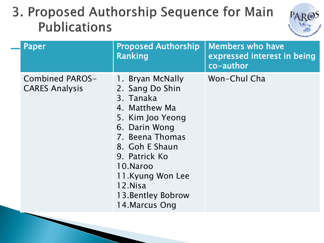

| <b>Paper</b>                             | <b>Proposed Authorship</b><br><b>Ranking</b>                                                                                                                                                                                                    | <b>Members who have</b><br>expressed interest in being<br>co-author |
|------------------------------------------|-------------------------------------------------------------------------------------------------------------------------------------------------------------------------------------------------------------------------------------------------|---------------------------------------------------------------------|
| Combined PAROS-<br><b>CARES Analysis</b> | 1. Bryan McNally<br>2. Sang Do Shin<br>3. Tanaka<br>4. Matthew Ma<br>5. Kim Joo Yeong<br>6. Darin Wong<br>7. Beena Thomas<br>8. Goh E Shaun<br>9. Patrick Ko<br>10.Naroo<br>11.Kyung Won Lee<br>12.Nisa<br>13. Bentley Bobrow<br>14. Marcus Ong | Won-Chul Cha                                                        |
|                                          |                                                                                                                                                                                                                                                 |                                                                     |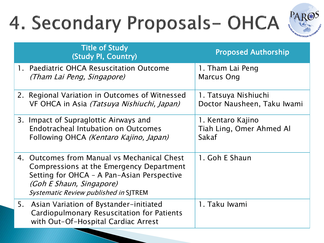# 4. Secondary Proposals-OHCA (PAROS



|    | <b>Title of Study</b><br>(Study PI, Country)                                                                                                                                                                      | <b>Proposed Authorship</b>                             |
|----|-------------------------------------------------------------------------------------------------------------------------------------------------------------------------------------------------------------------|--------------------------------------------------------|
|    | 1. Paediatric OHCA Resuscitation Outcome<br>(Tham Lai Peng, Singapore)                                                                                                                                            | 1. Tham Lai Peng<br><b>Marcus Ong</b>                  |
|    | 2. Regional Variation in Outcomes of Witnessed<br>VF OHCA in Asia <i>(Tatsuya Nishiuchi, Japan)</i>                                                                                                               | 1. Tatsuya Nishiuchi<br>Doctor Nausheen, Taku Iwami    |
|    | 3. Impact of Supraglottic Airways and<br><b>Endotracheal Intubation on Outcomes</b><br>Following OHCA (Kentaro Kajino, Japan)                                                                                     | 1. Kentaro Kajino<br>Tiah Ling, Omer Ahmed Al<br>Sakaf |
|    | 4. Outcomes from Manual vs Mechanical Chest<br>Compressions at the Emergency Department<br>Setting for OHCA - A Pan-Asian Perspective<br><i>(Goh E Shaun, Singapore)</i><br>Systematic Review published in SJTREM | 1. Goh E Shaun                                         |
| 5. | Asian Variation of Bystander-initiated<br>Cardiopulmonary Resuscitation for Patients<br>with Out-Of-Hospital Cardiac Arrest                                                                                       | 1. Taku Iwami                                          |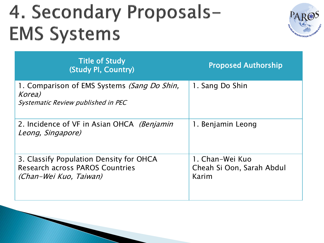## 4. Secondary Proposals-**EMS Systems**



| <b>Title of Study</b><br>(Study PI, Country)                                                                | <b>Proposed Authorship</b>                            |
|-------------------------------------------------------------------------------------------------------------|-------------------------------------------------------|
| 1. Comparison of EMS Systems <i>(Sang Do Shin,</i><br>Korea)<br>Systematic Review published in PEC          | 1. Sang Do Shin                                       |
| 2. Incidence of VF in Asian OHCA (Benjamin<br>Leong, Singapore)                                             | 1. Benjamin Leong                                     |
| 3. Classify Population Density for OHCA<br><b>Research across PAROS Countries</b><br>(Chan-Wei Kuo, Taiwan) | 1. Chan-Wei Kuo<br>Cheah Si Oon, Sarah Abdul<br>Karim |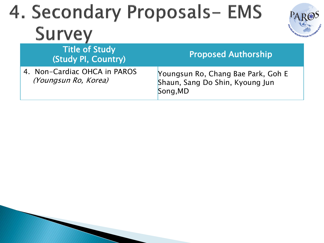## 4. Secondary Proposals- EMS **Survey**

| <b>Title of Study</b><br>(Study PI, Country)         | <b>Proposed Authorship</b>                                                        |
|------------------------------------------------------|-----------------------------------------------------------------------------------|
| 4. Non-Cardiac OHCA in PAROS<br>(Youngsun Ro, Korea) | Youngsun Ro, Chang Bae Park, Goh E<br>Shaun, Sang Do Shin, Kyoung Jun<br>Song, MD |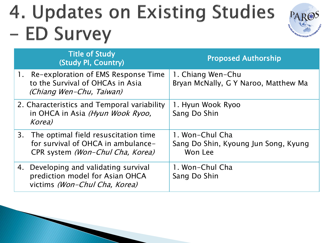## 4. Updates on Existing Studies - ED Survey



| <b>Title of Study</b><br>(Study PI, Country)                                                                      | <b>Proposed Authorship</b>                                         |
|-------------------------------------------------------------------------------------------------------------------|--------------------------------------------------------------------|
| 1. Re-exploration of EMS Response Time<br>to the Survival of OHCAs in Asia<br>(Chiang Wen-Chu, Taiwan)            | 1. Chiang Wen-Chu<br>Bryan McNally, G Y Naroo, Matthew Ma          |
| 2. Characteristics and Temporal variability<br>in OHCA in Asia (Hyun Wook Ryoo,<br>Korea)                         | 1. Hyun Wook Ryoo<br>Sang Do Shin                                  |
| 3. The optimal field resuscitation time<br>for survival of OHCA in ambulance-<br>CPR system (Won-Chul Cha, Korea) | 1. Won-Chul Cha<br>Sang Do Shin, Kyoung Jun Song, Kyung<br>Won Lee |
| 4. Developing and validating survival<br>prediction model for Asian OHCA<br>victims (Won-Chul Cha, Korea)         | 1. Won-Chul Cha<br>Sang Do Shin                                    |